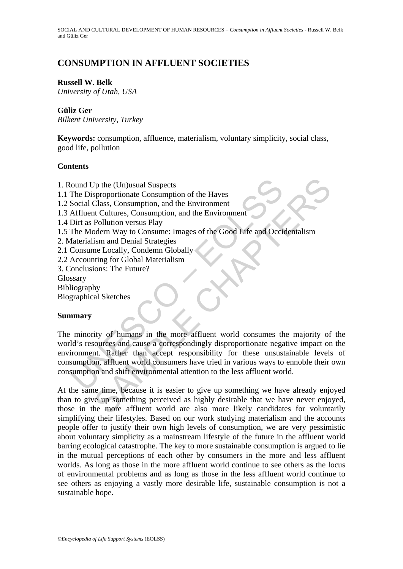# **CONSUMPTION IN AFFLUENT SOCIETIES**

#### **Russell W. Belk**

*University of Utah, USA* 

## **Güliz Ger**

*Bilkent University, Turkey* 

**Keywords:** consumption, affluence, materialism, voluntary simplicity, social class, good life, pollution

## **Contents**

- 1. Round Up the (Un)usual Suspects
- 1.1 The Disproportionate Consumption of the Haves
- 1.2 Social Class, Consumption, and the Environment
- 1.3 Affluent Cultures, Consumption, and the Environment
- 1.4 Dirt as Pollution versus Play
- 1.5 The Modern Way to Consume: Images of the Good Life and Occidentalism
- 2. Materialism and Denial Strategies
- 2.1 Consume Locally, Condemn Globally
- 2.2 Accounting for Global Materialism
- 3. Conclusions: The Future?

Glossary

- Bibliography
- Biographical Sketches

#### **Summary**

ound Up the (Un)usual Suspects<br>
The Disproportionate Consumption of the Haves<br>
Social Class, Consumption, and the Environment<br>
Affluent Cultures, Consumption, and the Environment<br>
Affluent Cultures, Consumption, and the En Up the (Un)usual Suspects<br>
sproportionate Consumption of the Haves<br>
Class, Consumption, and the Environment<br>
Cultures, Consumption, and the Environment<br>
Cultures, Consume: Images of the Good Life and Occidentalism<br>
is mand The minority of humans in the more affluent world consumes the majority of the world's resources and cause a correspondingly disproportionate negative impact on the environment. Rather than accept responsibility for these unsustainable levels of consumption, affluent world consumers have tried in various ways to ennoble their own consumption and shift environmental attention to the less affluent world.

At the same time, because it is easier to give up something we have already enjoyed than to give up something perceived as highly desirable that we have never enjoyed, those in the more affluent world are also more likely candidates for voluntarily simplifying their lifestyles. Based on our work studying materialism and the accounts people offer to justify their own high levels of consumption, we are very pessimistic about voluntary simplicity as a mainstream lifestyle of the future in the affluent world barring ecological catastrophe. The key to more sustainable consumption is argued to lie in the mutual perceptions of each other by consumers in the more and less affluent worlds. As long as those in the more affluent world continue to see others as the locus of environmental problems and as long as those in the less affluent world continue to see others as enjoying a vastly more desirable life, sustainable consumption is not a sustainable hope.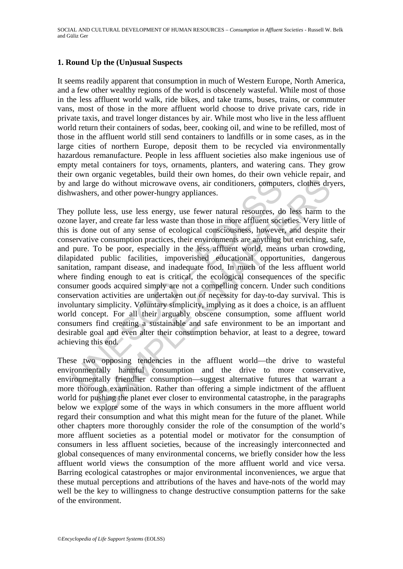## **1. Round Up the (Un)usual Suspects**

It seems readily apparent that consumption in much of Western Europe, North America, and a few other wealthy regions of the world is obscenely wasteful. While most of those in the less affluent world walk, ride bikes, and take trams, buses, trains, or commuter vans, most of those in the more affluent world choose to drive private cars, ride in private taxis, and travel longer distances by air. While most who live in the less affluent world return their containers of sodas, beer, cooking oil, and wine to be refilled, most of those in the affluent world still send containers to landfills or in some cases, as in the large cities of northern Europe, deposit them to be recycled via environmentally hazardous remanufacture. People in less affluent societies also make ingenious use of empty metal containers for toys, ornaments, planters, and watering cans. They grow their own organic vegetables, build their own homes, do their own vehicle repair, and by and large do without microwave ovens, air conditioners, computers, clothes dryers, dishwashers, and other power-hungry appliances.

and large do without microwave ovens, air conditioners, comput<br>washers, and other power-hungry appliances.<br>y pollute less, use less energy, use fewer natural resources, de<br>layer, and create far less waste than those in mor ege do without microwave ovens, air conditioners, computers, clothes dry<br>s, and other power-hungry appliances.<br>The less, use less energy, use fewer natural resources, do less harm to<br>r, and create far less waste than those They pollute less, use less energy, use fewer natural resources, do less harm to the ozone layer, and create far less waste than those in more affluent societies. Very little of this is done out of any sense of ecological consciousness, however, and despite their conservative consumption practices, their environments are anything but enriching, safe, and pure. To be poor, especially in the less affluent world, means urban crowding, dilapidated public facilities, impoverished educational opportunities, dangerous sanitation, rampant disease, and inadequate food. In much of the less affluent world where finding enough to eat is critical, the ecological consequences of the specific consumer goods acquired simply are not a compelling concern. Under such conditions conservation activities are undertaken out of necessity for day-to-day survival. This is involuntary simplicity. Voluntary simplicity, implying as it does a choice, is an affluent world concept. For all their arguably obscene consumption, some affluent world consumers find creating a sustainable and safe environment to be an important and desirable goal and even alter their consumption behavior, at least to a degree, toward achieving this end.

These two opposing tendencies in the affluent world—the drive to wasteful environmentally harmful consumption and the drive to more conservative, environmentally friendlier consumption—suggest alternative futures that warrant a more thorough examination. Rather than offering a simple indictment of the affluent world for pushing the planet ever closer to environmental catastrophe, in the paragraphs below we explore some of the ways in which consumers in the more affluent world regard their consumption and what this might mean for the future of the planet. While other chapters more thoroughly consider the role of the consumption of the world's more affluent societies as a potential model or motivator for the consumption of consumers in less affluent societies, because of the increasingly interconnected and global consequences of many environmental concerns, we briefly consider how the less affluent world views the consumption of the more affluent world and vice versa. Barring ecological catastrophes or major environmental inconveniences, we argue that these mutual perceptions and attributions of the haves and have-nots of the world may well be the key to willingness to change destructive consumption patterns for the sake of the environment.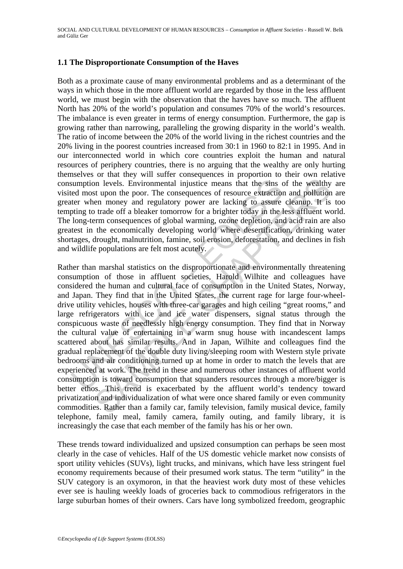## **1.1 The Disproportionate Consumption of the Haves**

Both as a proximate cause of many environmental problems and as a determinant of the ways in which those in the more affluent world are regarded by those in the less affluent world, we must begin with the observation that the haves have so much. The affluent North has 20% of the world's population and consumes 70% of the world's resources. The imbalance is even greater in terms of energy consumption. Furthermore, the gap is growing rather than narrowing, paralleling the growing disparity in the world's wealth. The ratio of income between the 20% of the world living in the richest countries and the 20% living in the poorest countries increased from 30:1 in 1960 to 82:1 in 1995. And in our interconnected world in which core countries exploit the human and natural resources of periphery countries, there is no arguing that the wealthy are only hurting themselves or that they will suffer consequences in proportion to their own relative consumption levels. Environmental injustice means that the sins of the wealthy are visited most upon the poor. The consequences of resource extraction and pollution are greater when money and regulatory power are lacking to assure cleanup. It is too tempting to trade off a bleaker tomorrow for a brighter today in the less affluent world. The long-term consequences of global warming, ozone depletion, and acid rain are also greatest in the economically developing world where desertification, drinking water shortages, drought, malnutrition, famine, soil erosion, deforestation, and declines in fish and wildlife populations are felt most acutely.

sumption levels. Environmental injustice means that the sins c<br>ted most upon the poor. The consequences of resource extraction<br>ter when money and regulatory power are lacking to assure<br>pting to trade off a bleaker tomorrow not levels. Environmental injustice means that the sins of the wealthy<br>st upon the poor. The consequences of resource extraction and pollution<br>or tracking to assure cleaning the interaction of tracking to assure cleaning. Rather than marshal statistics on the disproportionate and environmentally threatening consumption of those in affluent societies, Harold Wilhite and colleagues have considered the human and cultural face of consumption in the United States, Norway, and Japan. They find that in the United States, the current rage for large four-wheeldrive utility vehicles, houses with three-car garages and high ceiling "great rooms," and large refrigerators with ice and ice water dispensers, signal status through the conspicuous waste of needlessly high energy consumption. They find that in Norway the cultural value of entertaining in a warm snug house with incandescent lamps scattered about has similar results. And in Japan, Wilhite and colleagues find the gradual replacement of the double duty living/sleeping room with Western style private bedrooms and air conditioning turned up at home in order to match the levels that are experienced at work. The trend in these and numerous other instances of affluent world consumption is toward consumption that squanders resources through a more/bigger is better ethos. This trend is exacerbated by the affluent world's tendency toward privatization and individualization of what were once shared family or even community commodities. Rather than a family car, family television, family musical device, family telephone, family meal, family camera, family outing, and family library, it is increasingly the case that each member of the family has his or her own.

These trends toward individualized and upsized consumption can perhaps be seen most clearly in the case of vehicles. Half of the US domestic vehicle market now consists of sport utility vehicles (SUVs), light trucks, and minivans, which have less stringent fuel economy requirements because of their presumed work status. The term "utility" in the SUV category is an oxymoron, in that the heaviest work duty most of these vehicles ever see is hauling weekly loads of groceries back to commodious refrigerators in the large suburban homes of their owners. Cars have long symbolized freedom, geographic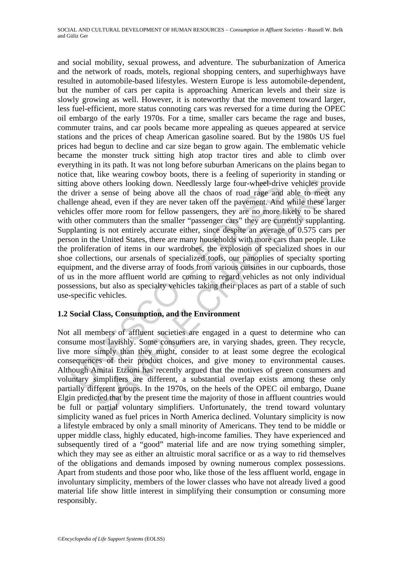may above others looking down. Needlessly large four-wheel-driv<br>driver a sense of being above all the chaos of road rage and<br>lenge ahead, even if they are never taken off the pavement. And<br>cles offer more room for fellow p we others looking down. Needlessly large four-wheel-drive vehicles pro<br>we others looking down. Needlessly large four-wheel-drive vehicles pro<br>a sense of being above all the chaos of road rage and able to meet<br>the ad, even and social mobility, sexual prowess, and adventure. The suburbanization of America and the network of roads, motels, regional shopping centers, and superhighways have resulted in automobile-based lifestyles. Western Europe is less automobile-dependent, but the number of cars per capita is approaching American levels and their size is slowly growing as well. However, it is noteworthy that the movement toward larger, less fuel-efficient, more status connoting cars was reversed for a time during the OPEC oil embargo of the early 1970s. For a time, smaller cars became the rage and buses, commuter trains, and car pools became more appealing as queues appeared at service stations and the prices of cheap American gasoline soared. But by the 1980s US fuel prices had begun to decline and car size began to grow again. The emblematic vehicle became the monster truck sitting high atop tractor tires and able to climb over everything in its path. It was not long before suburban Americans on the plains began to notice that, like wearing cowboy boots, there is a feeling of superiority in standing or sitting above others looking down. Needlessly large four-wheel-drive vehicles provide the driver a sense of being above all the chaos of road rage and able to meet any challenge ahead, even if they are never taken off the pavement. And while these larger vehicles offer more room for fellow passengers, they are no more likely to be shared with other commuters than the smaller "passenger cars" they are currently supplanting. Supplanting is not entirely accurate either, since despite an average of 0.575 cars per person in the United States, there are many households with more cars than people. Like the proliferation of items in our wardrobes, the explosion of specialized shoes in our shoe collections, our arsenals of specialized tools, our panoplies of specialty sporting equipment, and the diverse array of foods from various cuisines in our cupboards, those of us in the more affluent world are coming to regard vehicles as not only individual possessions, but also as specialty vehicles taking their places as part of a stable of such use-specific vehicles.

## **1.2 Social Class, Consumption, and the Environment**

Not all members of affluent societies are engaged in a quest to determine who can consume most lavishly. Some consumers are, in varying shades, green. They recycle, live more simply than they might, consider to at least some degree the ecological consequences of their product choices, and give money to environmental causes. Although Amitai Etzioni has recently argued that the motives of green consumers and voluntary simplifiers are different, a substantial overlap exists among these only partially different groups. In the 1970s, on the heels of the OPEC oil embargo, Duane Elgin predicted that by the present time the majority of those in affluent countries would be full or partial voluntary simplifiers. Unfortunately, the trend toward voluntary simplicity waned as fuel prices in North America declined. Voluntary simplicity is now a lifestyle embraced by only a small minority of Americans. They tend to be middle or upper middle class, highly educated, high-income families. They have experienced and subsequently tired of a "good" material life and are now trying something simpler, which they may see as either an altruistic moral sacrifice or as a way to rid themselves of the obligations and demands imposed by owning numerous complex possessions. Apart from students and those poor who, like those of the less affluent world, engage in involuntary simplicity, members of the lower classes who have not already lived a good material life show little interest in simplifying their consumption or consuming more responsibly.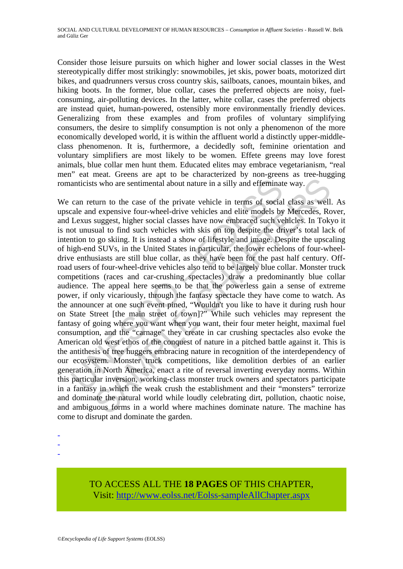Consider those leisure pursuits on which higher and lower social classes in the West stereotypically differ most strikingly: snowmobiles, jet skis, power boats, motorized dirt bikes, and quadrunners versus cross country skis, sailboats, canoes, mountain bikes, and hiking boots. In the former, blue collar, cases the preferred objects are noisy, fuelconsuming, air-polluting devices. In the latter, white collar, cases the preferred objects are instead quiet, human-powered, ostensibly more environmentally friendly devices. Generalizing from these examples and from profiles of voluntary simplifying consumers, the desire to simplify consumption is not only a phenomenon of the more economically developed world, it is within the affluent world a distinctly upper-middleclass phenomenon. It is, furthermore, a decidedly soft, feminine orientation and voluntary simplifiers are most likely to be women. Effete greens may love forest animals, blue collar men hunt them. Educated elites may embrace vegetarianism, "real men" eat meat. Greens are apt to be characterized by non-greens as tree-hugging romanticists who are sentimental about nature in a silly and effeminate way.

anticists who are sentimental about nature in a silly and effeminat<br>can return to the case of the private vehicle in terms of social<br>ale and expensive four-wheel-drive vehicles and elite models by<br>Lexus suggest, higher soc Is who are sentimental about nature in a silly and efferminate way.<br>
sum to the case of the private vehicle in terms of social class as well<br>
dexpensive four-wheel-drive vehicles and elite models by Mercedes, Re<br>
suggest, We can return to the case of the private vehicle in terms of social class as well. As upscale and expensive four-wheel-drive vehicles and elite models by Mercedes, Rover, and Lexus suggest, higher social classes have now embraced such vehicles. In Tokyo it is not unusual to find such vehicles with skis on top despite the driver's total lack of intention to go skiing. It is instead a show of lifestyle and image. Despite the upscaling of high-end SUVs, in the United States in particular, the lower echelons of four-wheeldrive enthusiasts are still blue collar, as they have been for the past half century. Offroad users of four-wheel-drive vehicles also tend to be largely blue collar. Monster truck competitions (races and car-crushing spectacles) draw a predominantly blue collar audience. The appeal here seems to be that the powerless gain a sense of extreme power, if only vicariously, through the fantasy spectacle they have come to watch. As the announcer at one such event pined, "Wouldn't you like to have it during rush hour on State Street [the main street of town]?" While such vehicles may represent the fantasy of going where you want when you want, their four meter height, maximal fuel consumption, and the "carnage" they create in car crushing spectacles also evoke the American old west ethos of the conquest of nature in a pitched battle against it. This is the antithesis of tree huggers embracing nature in recognition of the interdependency of our ecosystem. Monster truck competitions, like demolition derbies of an earlier generation in North America, enact a rite of reversal inverting everyday norms. Within this particular inversion, working-class monster truck owners and spectators participate in a fantasy in which the weak crush the establishment and their "monsters" terrorize and dominate the natural world while loudly celebrating dirt, pollution, chaotic noise, and ambiguous forms in a world where machines dominate nature. The machine has come to disrupt and dominate the garden.

- -
- -
- -

## TO ACCESS ALL THE **18 PAGES** OF THIS CHAPTER, Visit[: http://www.eolss.net/Eolss-sampleAllChapter.aspx](https://www.eolss.net/ebooklib/sc_cart.aspx?File=E1-11-07-03)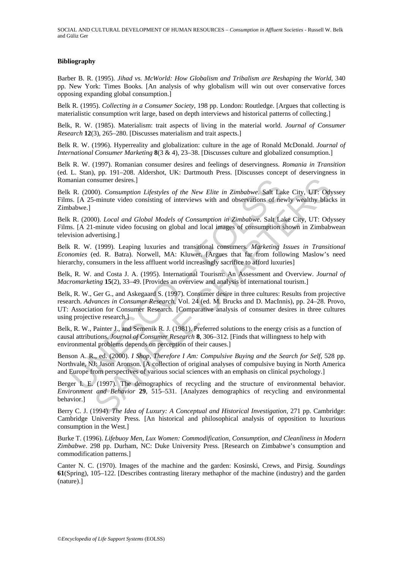#### **Bibliography**

Barber B. R. (1995). *Jihad vs. McWorld: How Globalism and Tribalism are Reshaping the World*, 340 pp. New York: Times Books. [An analysis of why globalism will win out over conservative forces opposing expanding global consumption.]

Belk R. (1995). *Collecting in a Consumer Society*, 198 pp. London: Routledge. [Argues that collecting is materialistic consumption writ large, based on depth interviews and historical patterns of collecting.]

Belk, R. W. (1985). Materialism: trait aspects of living in the material world. *Journal of Consumer Research* **12**(3), 265–280. [Discusses materialism and trait aspects.]

Belk R. W. (1996). Hyperreality and globalization: culture in the age of Ronald McDonald. *Journal of International Consumer Marketing* **8**(3 & 4), 23–38. [Discusses culture and globalized consumption.]

Belk R. W. (1997). Romanian consumer desires and feelings of deservingness. *Romania in Transition* (ed. L. Stan), pp. 191–208. Aldershot, UK: Dartmouth Press. [Discusses concept of deservingness in Romanian consumer desires.]

Belk R. (2000). *Consumption Lifestyles of the New Elite in Zimbabwe*. Salt Lake City, UT: Odyssey Films. [A 25-minute video consisting of interviews with and observations of newly wealthy blacks in Zimbabwe.]

Belk R. (2000). *Local and Global Models of Consumption in Zimbabwe*. Salt Lake City, UT: Odyssey Films. [A 21-minute video focusing on global and local images of consumption shown in Zimbabwean television advertising.]

Belk R. W. (1999). Leaping luxuries and transitional consumers. *Marketing Issues in Transitional Economies* (ed. R. Batra). Norwell, MA: Kluwer. [Argues that far from following Maslow's need hierarchy, consumers in the less affluent world increasingly sacrifice to afford luxuries]

Belk, R. W. and Costa J. A. (1995). International Tourism: An Assessment and Overview. *Journal of Macromarketing* **15**(2), 33–49. [Provides an overview and analysis of international tourism.]

anian consumer desires.]<br>
R. (2000). *Consumption Lifestyles of the New Elite in Zimbabwe*. **Salt La**<br>
S. [A 25-minute video consisting of interviews with and observations of ne<br>
R. (2000). *Local and Global Models of Cons* nsumer desires.]<br>
00). Consumption Lifestyles of the New Elite in Zimbabwe. Salt Lake City, UF: Ody<br>
-minute video consisting of interviews with and observations of newly wealthy blac<br>
00). Local and Global Models of Consu Belk, R. W., Ger G., and Askegaard S. (1997). Consumer desire in three cultures: Results from projective research. *Advances in Consumer Research*, Vol. 24 (ed. M. Brucks and D. MacInnis), pp. 24–28. Provo, UT: Association for Consumer Research. [Comparative analysis of consumer desires in three cultures using projective research.]

Belk, R. W., Painter J., and Semenik R. J. (1981). Preferred solutions to the energy crisis as a function of causal attributions. *Journal of Consumer Research* **8**, 306–312. [Finds that willingness to help with environmental problems depends on perception of their causes.]

Benson A. R., ed. (2000). *I Shop, Therefore I Am: Compulsive Buying and the Search for Self*, 528 pp. Northvale, NJ: Jason Aronson. [A collection of original analyses of compulsive buying in North America and Europe from perspectives of various social sciences with an emphasis on clinical psychology.]

Berger I. E. (1997). The demographics of recycling and the structure of environmental behavior. *Environment and Behavior* **29**, 515–531. [Analyzes demographics of recycling and environmental behavior.]

Berry C. J. (1994). *The Idea of Luxury: A Conceptual and Historical Investigation*, 271 pp. Cambridge: Cambridge University Press. [An historical and philosophical analysis of opposition to luxurious consumption in the West.]

Burke T. (1996). *Lifebuoy Men, Lux Women: Commodification, Consumption, and Cleanliness in Modern Zimbabwe*. 298 pp. Durham, NC: Duke University Press. [Research on Zimbabwe's consumption and commodification patterns.]

Canter N. C. (1970). Images of the machine and the garden: Kosinski, Crews, and Pirsig. *Soundings* **61**(Spring), 105–122. [Describes contrasting literary methaphor of the machine (industry) and the garden (nature).]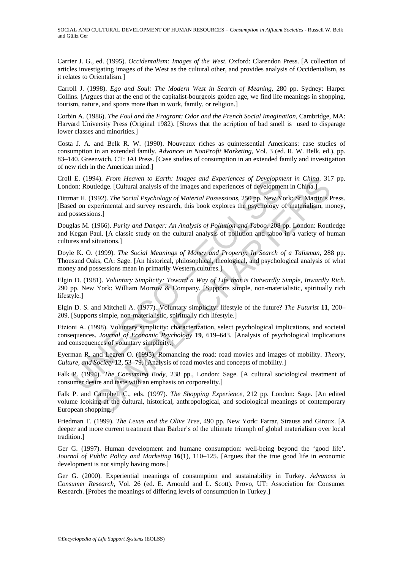Carrier J. G., ed. (1995). *Occidentalism: Images of the West*. Oxford: Clarendon Press. [A collection of articles investigating images of the West as the cultural other, and provides analysis of Occidentalism, as it relates to Orientalism.]

Carroll J. (1998). *Ego and Soul: The Modern West in Search of Meaning*, 280 pp. Sydney: Harper Collins. [Argues that at the end of the capitalist-bourgeois golden age, we find life meanings in shopping, tourism, nature, and sports more than in work, family, or religion.]

Corbin A. (1986). *The Foul and the Fragrant: Odor and the French Social Imagination*, Cambridge, MA: Harvard University Press (Original 1982). [Shows that the acription of bad smell is used to disparage lower classes and minorities.]

Costa J. A. and Belk R. W. (1990). Nouveaux riches as quintessential Americans: case studies of consumption in an extended family. *Advances in NonProfit Marketing*, Vol. 3 (ed. R. W. Belk, ed.), pp. 83–140. Greenwich, CT: JAI Press. [Case studies of consumption in an extended family and investigation of new rich in the American mind.]

Croll E. (1994). *From Heaven to Earth: Images and Experiences of Development in China*. 317 pp. London: Routledge. [Cultural analysis of the images and experiences of development in China.]

Dittmar H. (1992). *The Social Psychology of Material Possessions*, 250 pp. New York: St. Martin's Press. [Based on experimental and survey research, this book explores the psychology of materialism, money, and possessions.]

Douglas M. (1966). *Purity and Danger: An Analysis of Pollution and Taboo*. 208 pp. London: Routledge and Kegan Paul. [A classic study on the cultural analysis of pollution and taboo in a variety of human cultures and situations.]

Doyle K. O. (1999). *The Social Meanings of Money and Property: In Search of a Talisman*, 288 pp. Thousand Oaks, CA: Sage. [An historical, philosophical, theological, and psychological analysis of what money and possessions mean in primarily Western cultures.]

Elgin D. (1981). *Voluntary Simplicity: Toward a Way of Life that is Outwardly Simple, Inwardly Rich*. 290 pp. New York: William Morrow & Company. [Supports simple, non-materialistic, spiritually rich lifestyle.]

Elgin D. S. and Mitchell A. (1977). Voluntary simplicity: lifestyle of the future? *The Futurist* **11**, 200– 209. [Supports simple, non-materialistic, spiritually rich lifestyle.]

E. (1994). *From Heaven to Earth: Images and Experiences of Developmentarity and Experiences of Developmentarity (Cultural analysis of the images and experiences of developmentarity. The Social Psychology of Material Posse* 44). From Heaven to Earth: Images and Experiences of Development in China, 31-<br>
44). From Heaven to Earth: Images and experiences of development in China.]<br>
449. Fee. ICultural analysis of the images and experiences of dev Etzioni A. (1998). Voluntary simplicity: characterization, select psychological implications, and societal consequences. *Journal of Economic Psychology* **19**, 619–643. [Analysis of psychological implications and consequences of voluntary simplicity.]

Eyerman R. and Legren O. (1995). Romancing the road: road movies and images of mobility. *Theory, Culture, and Society* **12**, 53–79. [Analysis of road movies and concepts of mobility.]

Falk P. (1994). *The Consuming Body*, 238 pp., London: Sage. [A cultural sociological treatment of consumer desire and taste with an emphasis on corporeality.]

Falk P. and Campbell C., eds. (1997). *The Shopping Experience*, 212 pp. London: Sage. [An edited volume looking at the cultural, historical, anthropological, and sociological meanings of contemporary European shopping.]

Friedman T. (1999). *The Lexus and the Olive Tree*, 490 pp. New York: Farrar, Strauss and Giroux. [A deeper and more current treatment than Barber's of the ultimate triumph of global materialism over local tradition.]

Ger G. (1997). Human development and humane consumption: well-being beyond the 'good life'. *Journal of Public Policy and Marketing* **16**(1), 110–125. [Argues that the true good life in economic development is not simply having more.]

Ger G. (2000). Experiential meanings of consumption and sustainability in Turkey. *Advances in Consumer Research*, Vol. 26 (ed. E. Arnould and L. Scott). Provo, UT: Association for Consumer Research. [Probes the meanings of differing levels of consumption in Turkey.]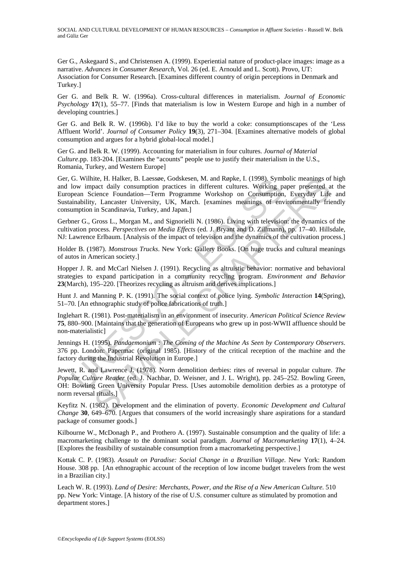Ger G., Askegaard S., and Christensen A. (1999). Experiential nature of product-place images: image as a narrative. *Advances in Consumer Research*, Vol. 26 (ed. E. Arnould and L. Scott). Provo, UT: Association for Consumer Research. [Examines different country of origin perceptions in Denmark and Turkey.]

Ger G. and Belk R. W. (1996a). Cross-cultural differences in materialism. *Journal of Economic Psychology* **17**(1), 55–77. [Finds that materialism is low in Western Europe and high in a number of developing countries.]

Ger G. and Belk R. W. (1996b). I'd like to buy the world a coke: consumptionscapes of the 'Less Affluent World'. *Journal of Consumer Policy* **19**(3), 271–304. [Examines alternative models of global consumption and argues for a hybrid global-local model.]

Ger G. and Belk R. W. (1999). Accounting for materialism in four cultures. *Journal of Material Culture*.pp. 183-204. [Examines the "acounts" people use to justify their materialism in the U.S., Romania, Turkey, and Western Europe]

G. Wilhtlet, H. Halker, B. Laessee, Godskesen, M. and Ropke, I. (1998). Symther of two impact daily consumption practices in different cultures. Working p<br>pean Science Foundation—Term Programme Workshop on Consumption<br>inab ite, H. Halker, B. Laessee, Godskesen, M. and Ropke, I. (1998). Symbolic meanings of<br>eact daily consumption practices in different cultures. Working paper presented a<br>cience Foundation—Term Programme Workshop on Consumptio Ger, G. Wilhite, H. Halker, B. Laessøe, Godskesen, M. and Røpke, I. (1998). Symbolic meanings of high and low impact daily consumption practices in different cultures. Working paper presented at the European Science Foundation—Term Programme Workshop on Consumption, Everyday Life and Sustainability, Lancaster University, UK, March. [examines meanings of environmentally friendly consumption in Scandinavia, Turkey, and Japan.]

Gerbner G., Gross L., Morgan M., and Signorielli N. (1986). Living with television: the dynamics of the cultivation process. *Perspectives on Media Effects* (ed. J. Bryant and D. Zillmann), pp. 17–40. Hillsdale, NJ: Lawrence Erlbaum. [Analysis of the impact of television and the dynamics of the cultivation process.]

Holder B. (1987). *Monstrous Trucks*. New York: Gallery Books. [On huge trucks and cultural meanings of autos in American society.]

Hopper J. R. and McCarl Nielsen J. (1991). Recycling as altruistic behavior: normative and behavioral strategies to expand participation in a community recycling program. *Environment and Behavior* **23**(March), 195–220. [Theorizes recycling as altruism and derives implications.]

Hunt J. and Manning P. K. (1991). The social context of police lying. *Symbolic Interaction* **14**(Spring), 51–70. [An ethnographic study of police fabrications of truth.]

Inglehart R. (1981). Post-materialism in an environment of insecurity. *American Political Science Review* **75**, 880–900. [Maintains that the generation of Europeans who grew up in post-WWII affluence should be non-materialistic]

Jennings H. (1995). *Pandaemonium : The Coming of the Machine As Seen by Contemporary Observers*. 376 pp. London: Papermac (original 1985). [History of the critical reception of the machine and the factory during the Industrial Revolution in Europe.]

Jewett, R. and Lawrence J. (1978). Norm demolition derbies: rites of reversal in popular culture. *The Popular Culture Reader* (ed. J. Nachbar, D. Weisner, and J. L. Wright), pp. 245–252. Bowling Green, OH: Bowling Green University Popular Press. [Uses automobile demolition derbies as a prototype of norm reversal rituals.]

Keyfitz N. (1982). Development and the elimination of poverty. *Economic Development and Cultural Change* **30**, 649–670. [Argues that consumers of the world increasingly share aspirations for a standard package of consumer goods.]

Kilbourne W., McDonagh P., and Prothero A. (1997). Sustainable consumption and the quality of life: a macromarketing challenge to the dominant social paradigm. *Journal of Macromarketing* **17**(1), 4–24. [Explores the feasibility of sustainable consumption from a macromarketing perspective.]

Kottak C. P. (1983). *Assault on Paradise: Social Change in a Brazilian Village*. New York: Random House. 308 pp. [An ethnographic account of the reception of low income budget travelers from the west in a Brazilian city.]

Leach W. R. (1993). *Land of Desire: Merchants, Power, and the Rise of a New American Culture*. 510 pp. New York: Vintage. [A history of the rise of U.S. consumer culture as stimulated by promotion and department stores.]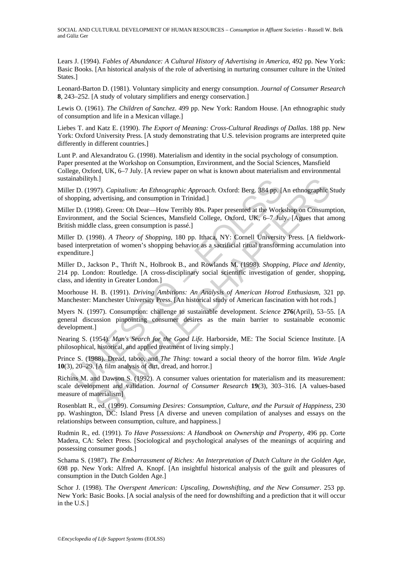Lears J. (1994). *Fables of Abundance: A Cultural History of Advertising in America*, 492 pp. New York: Basic Books. [An historical analysis of the role of advertising in nurturing consumer culture in the United States.]

Leonard-Barton D. (1981). Voluntary simplicity and energy consumption. *Journal of Consumer Research* **8**, 243–252. [A study of volutary simplifiers and energy conservation.]

Lewis O. (1961). *The Children of Sanchez*. 499 pp. New York: Random House. [An ethnographic study of consumption and life in a Mexican village.]

Liebes T. and Katz E. (1990). *The Export of Meaning: Cross-Cultural Readings of Dallas*. 188 pp. New York: Oxford University Press. [A study demonstrating that U.S. television programs are interpreted quite differently in different countries.]

Lunt P. and Alexandratou G. (1998). Materialism and identity in the social psychology of consumption. Paper presented at the Workshop on Consumption, Environment, and the Social Sciences, Mansfield College, Oxford, UK, 6–7 July. [A review paper on what is known about materialism and environmental sustainabilityh.]

Miller D. (1997). *Capitalism: An Ethnographic Approach*. Oxford: Berg. 384 pp. [An ethnographic Study of shopping, advertising, and consumption in Trinidad.]

Miller D. (1998). Green: Oh Dear—How Terribly 80s. Paper presented at the Workshop on Consumption, Environment, and the Social Sciences, Mansfield College, Oxford, UK, 6–7 July. [Agues that among British middle class, green consumption is passé.]

unabilityh.]<br>
unabilityh.]<br>
er D. (1997). Capitalism: An Ethnographic Approach. Oxford: Berg. 384 pp. [*i*<br>
er D. (1998). Green: Oh Dear—How Terribly 80s. Paper presented at the Work<br>
roment, and the Social Sciences, Mansf h.]<br>
And Constainers An Ethnographic Approach. Oxford: Berg. 384 pp. [An ethnographic 897).<br>
Graduettising, and consumption in Trinidad.]<br>
98). Green: Oh Dear—How Terribly 80s. Paper presented at the Workshop on Consump<br>
4 Miller D. (1998). *A Theory of Shopping*, 180 pp. Ithaca, NY: Cornell University Press. [A fieldworkbased interpretation of women's shopping behavior as a sacrificial ritual transforming accumulation into expenditure.]

Miller D., Jackson P., Thrift N., Holbrook B., and Rowlands M. (1998). *Shopping, Place and Identity*, 214 pp. London: Routledge. [A cross-disciplinary social scientific investigation of gender, shopping, class, and identity in Greater London.]

Moorhouse H. B. (1991). *Driving Ambitions: An Analysis of American Hotrod Enthusiasm*, 321 pp. Manchester: Manchester University Press. [An historical study of American fascination with hot rods.]

Myers N. (1997). Consumption: challenge to sustainable development. *Science* **276**(April), 53–55. [A general discussion pinpointing consumer desires as the main barrier to sustainable economic development.]

Nearing S. (1954). *Man's Search for the Good Life.* Harborside, ME: The Social Science Institute. [A philosophical, historical, and applied treatment of living simply.]

Prince S. (1988). Dread, taboo, and *The Thing*: toward a social theory of the horror film. *Wide Angle* **10**(3), 20–29. [A film analysis of dirt, dread, and horror.]

Richins M. and Dawson S. (1992). A consumer values orientation for materialism and its measurement: scale development and validation. *Journal of Consumer Research* **19**(3), 303–316. [A values-based measure of materialism]

Rosenblatt R., ed. (1999). *Consuming Desires: Consumption, Culture, and the Pursuit of Happiness*, 230 pp. Washington, DC: Island Press [A diverse and uneven compilation of analyses and essays on the relationships between consumption, culture, and happiness.]

Rudmin R., ed. (1991). *To Have Possessions: A Handbook on Ownership and Property*, 496 pp. Corte Madera, CA: Select Press. [Sociological and psychological analyses of the meanings of acquiring and possessing consumer goods.]

Schama S. (1987). *The Embarrassment of Riches: An Interpretation of Dutch Culture in the Golden Age*, 698 pp. New York: Alfred A. Knopf. [An insightful historical analysis of the guilt and pleasures of consumption in the Dutch Golden Age.]

Schor J. (1998). T*he Overspent American: Upscaling, Downshifting, and the New Consumer*. 253 pp. New York: Basic Books. [A social analysis of the need for downshifting and a prediction that it will occur in the U.S.]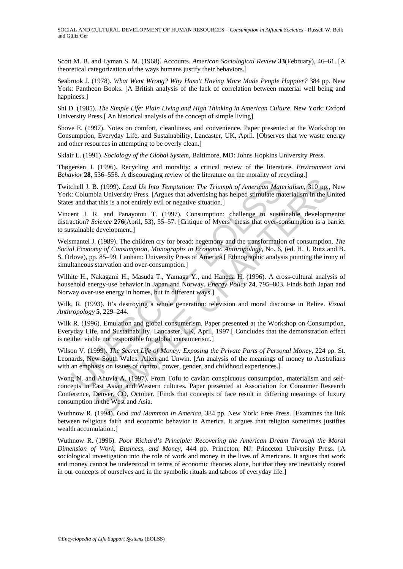Scott M. B. and Lyman S. M. (1968). Accounts. *American Sociological Review* **33**(February), 46–61. [A theoretical categorization of the ways humans justify their behaviors.]

Seabrook J. (1978). *What Went Wrong? Why Hasn't Having More Made People Happier?* 384 pp. New York: Pantheon Books. [A British analysis of the lack of correlation between material well being and happiness.]

Shi D. (1985). *The Simple Life: Plain Living and High Thinking in American Culture*. New York: Oxford University Press.[ An historical analysis of the concept of simple living]

Shove E. (1997). Notes on comfort, cleanliness, and convenience. Paper presented at the Workshop on Consumption, Everyday Life, and Sustainability, Lancaster, UK, April. [Observes that we waste energy and other resources in attempting to be overly clean.]

Sklair L. (1991). *Sociology of the Global System*, Baltimore, MD: Johns Hopkins University Press.

Thøgersen J. (1996). Recycling and morality: a critical review of the literature. *Environment and Behavior* **28**, 536–558. A discouraging review of the literature on the morality of recycling.]

Twitchell J. B. (1999). *Lead Us Into Temptation: The Triumph of American Materialism*, 310 pp., New York: Columbia University Press. [Argues that advertising has helped stimulate materialism in the United States and that this is a not entirely evil or negative situation.]

Vincent J. R. and Panayotou T. (1997). Consumption: challenge to sustainable developmentor distraction? *Science* **276**(April, 53), 55–57. [Critique of Myers' thesis that over-consumption is a barrier to sustainable development.]

chell J. B. (1999). *Lead Us Into Temptation:* The Triumph of American Mate: Columbia University Press. [Argues that advertising has helped stimulate mas and that his is a not entirely evil or negative situation.]<br>ent J. R Weismantel J. (1989). The children cry for bread: hegemony and the transformation of consumption. *The Social Economy of Consumption, Monographs in Economic Anthropology*, No. 6, (ed. H. J. Rutz and B. S. Orlove), pp. 85–99. Lanham: University Press of America.[ Ethnographic analysis pointing the irony of simultaneous starvation and over-consumption.]

Wilhite H., Nakagami H., Masuda T., Yamaga Y., and Haneda H. (1996). A cross-cultural analysis of household energy-use behavior in Japan and Norway. *Energy Policy* **24**, 795–803. Finds both Japan and Norway over-use energy in homes, but in different ways.]

Wilk, R. (1993). It's destroying a whole generation: television and moral discourse in Belize. *Visual Anthropology* **5**, 229–244.

Wilk R. (1996). Emulation and global consumerism. Paper presented at the Workshop on Consumption, Everyday Life, and Sustainability, Lancaster, UK, April, 1997.[ Concludes that the demonstration effect is neither viable nor responsible for global consumerism.]

Wilson V. (1999). *The Secret Life of Money: Exposing the Private Parts of Personal Money*, 224 pp. St. Leonards, New South Wales: Allen and Unwin. [An analysis of the meanings of money to Australians with an emphasis on issues of control, power, gender, and childhood experiences.]

B. (1999). *Lead Us Into Tempation*: The Triumph of American Materialism, 310 pp.,<br>B. (1999). *Lead Us Into Temptation:* The Triumph of American Materialism, 310 pp.,<br>bia University Press. [Argues that advertising has hel Wong N. and Ahuvia A. (1997). From Tofu to caviar: conspicuous consumption, materialism and selfconcepts in East Asian and Western cultures. Paper presented at Association for Consumer Research Conference, Denver, CO, October. [Finds that concepts of face result in differing meanings of luxury consumption in the West and Asia.

Wuthnow R. (1994). *God and Mammon in America*, 384 pp. New York: Free Press. [Examines the link between religious faith and economic behavior in America. It argues that religion sometimes justifies wealth accumulation.]

Wuthnow R. (1996). *Poor Richard's Principle: Recovering the American Dream Through the Moral Dimension of Work, Business, and Money*, 444 pp. Princeton, NJ: Princeton University Press. [A sociological investigation into the role of work and money in the lives of Americans. It argues that work and money cannot be understood in terms of economic theories alone, but that they are inevitably rooted in our concepts of ourselves and in the symbolic rituals and taboos of everyday life.]